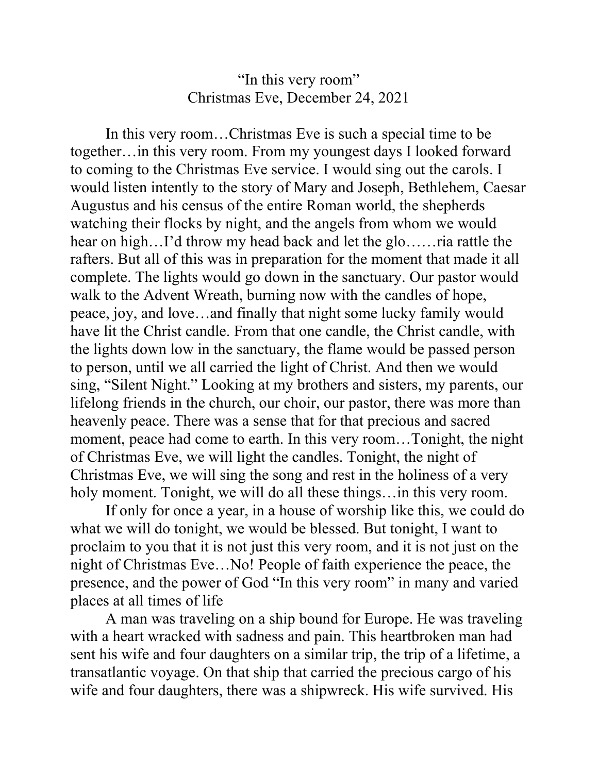## "In this very room" Christmas Eve, December 24, 2021

 In this very room…Christmas Eve is such a special time to be together…in this very room. From my youngest days I looked forward to coming to the Christmas Eve service. I would sing out the carols. I would listen intently to the story of Mary and Joseph, Bethlehem, Caesar Augustus and his census of the entire Roman world, the shepherds watching their flocks by night, and the angels from whom we would hear on high…I'd throw my head back and let the glo……ria rattle the rafters. But all of this was in preparation for the moment that made it all complete. The lights would go down in the sanctuary. Our pastor would walk to the Advent Wreath, burning now with the candles of hope, peace, joy, and love…and finally that night some lucky family would have lit the Christ candle. From that one candle, the Christ candle, with the lights down low in the sanctuary, the flame would be passed person to person, until we all carried the light of Christ. And then we would sing, "Silent Night." Looking at my brothers and sisters, my parents, our lifelong friends in the church, our choir, our pastor, there was more than heavenly peace. There was a sense that for that precious and sacred moment, peace had come to earth. In this very room…Tonight, the night of Christmas Eve, we will light the candles. Tonight, the night of Christmas Eve, we will sing the song and rest in the holiness of a very holy moment. Tonight, we will do all these things... in this very room.

 If only for once a year, in a house of worship like this, we could do what we will do tonight, we would be blessed. But tonight, I want to proclaim to you that it is not just this very room, and it is not just on the night of Christmas Eve…No! People of faith experience the peace, the presence, and the power of God "In this very room" in many and varied places at all times of life

A man was traveling on a ship bound for Europe. He was traveling with a heart wracked with sadness and pain. This heartbroken man had sent his wife and four daughters on a similar trip, the trip of a lifetime, a transatlantic voyage. On that ship that carried the precious cargo of his wife and four daughters, there was a shipwreck. His wife survived. His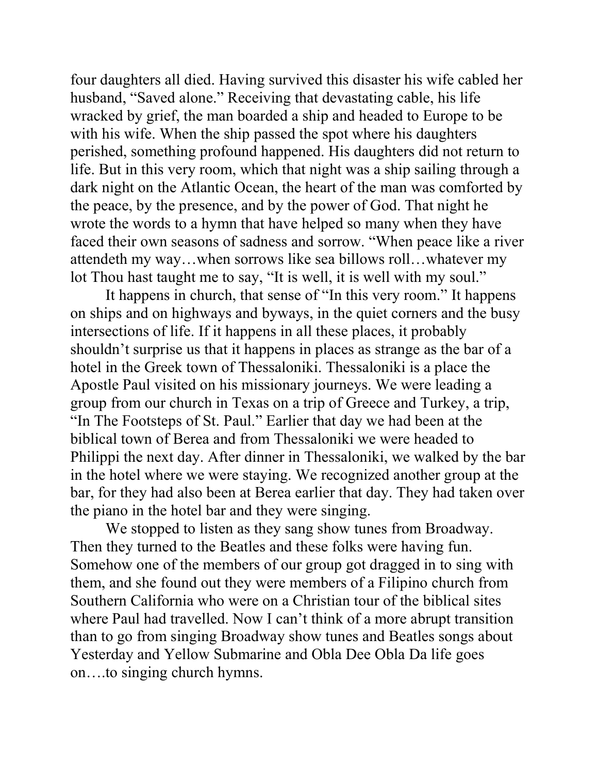four daughters all died. Having survived this disaster his wife cabled her husband, "Saved alone." Receiving that devastating cable, his life wracked by grief, the man boarded a ship and headed to Europe to be with his wife. When the ship passed the spot where his daughters perished, something profound happened. His daughters did not return to life. But in this very room, which that night was a ship sailing through a dark night on the Atlantic Ocean, the heart of the man was comforted by the peace, by the presence, and by the power of God. That night he wrote the words to a hymn that have helped so many when they have faced their own seasons of sadness and sorrow. "When peace like a river attendeth my way…when sorrows like sea billows roll…whatever my lot Thou hast taught me to say, "It is well, it is well with my soul."

It happens in church, that sense of "In this very room." It happens on ships and on highways and byways, in the quiet corners and the busy intersections of life. If it happens in all these places, it probably shouldn't surprise us that it happens in places as strange as the bar of a hotel in the Greek town of Thessaloniki. Thessaloniki is a place the Apostle Paul visited on his missionary journeys. We were leading a group from our church in Texas on a trip of Greece and Turkey, a trip, "In The Footsteps of St. Paul." Earlier that day we had been at the biblical town of Berea and from Thessaloniki we were headed to Philippi the next day. After dinner in Thessaloniki, we walked by the bar in the hotel where we were staying. We recognized another group at the bar, for they had also been at Berea earlier that day. They had taken over the piano in the hotel bar and they were singing.

We stopped to listen as they sang show tunes from Broadway. Then they turned to the Beatles and these folks were having fun. Somehow one of the members of our group got dragged in to sing with them, and she found out they were members of a Filipino church from Southern California who were on a Christian tour of the biblical sites where Paul had travelled. Now I can't think of a more abrupt transition than to go from singing Broadway show tunes and Beatles songs about Yesterday and Yellow Submarine and Obla Dee Obla Da life goes on….to singing church hymns.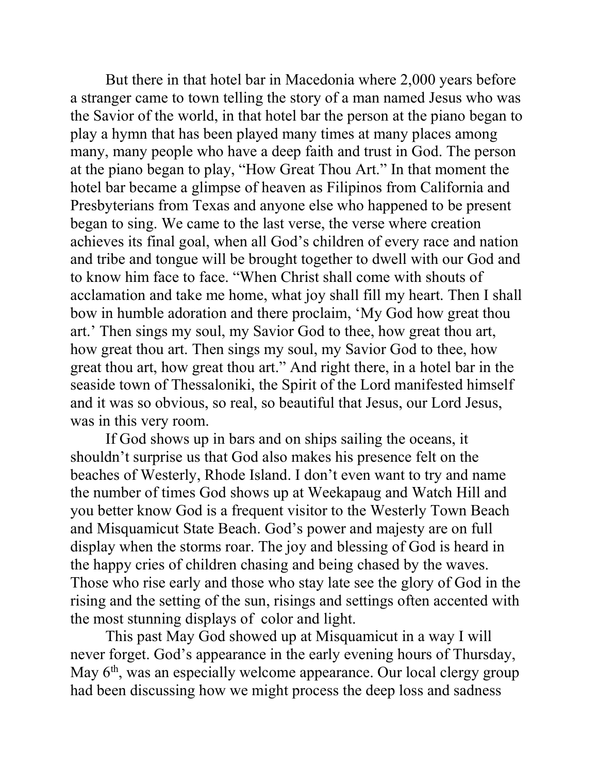But there in that hotel bar in Macedonia where 2,000 years before a stranger came to town telling the story of a man named Jesus who was the Savior of the world, in that hotel bar the person at the piano began to play a hymn that has been played many times at many places among many, many people who have a deep faith and trust in God. The person at the piano began to play, "How Great Thou Art." In that moment the hotel bar became a glimpse of heaven as Filipinos from California and Presbyterians from Texas and anyone else who happened to be present began to sing. We came to the last verse, the verse where creation achieves its final goal, when all God's children of every race and nation and tribe and tongue will be brought together to dwell with our God and to know him face to face. "When Christ shall come with shouts of acclamation and take me home, what joy shall fill my heart. Then I shall bow in humble adoration and there proclaim, 'My God how great thou art.' Then sings my soul, my Savior God to thee, how great thou art, how great thou art. Then sings my soul, my Savior God to thee, how great thou art, how great thou art." And right there, in a hotel bar in the seaside town of Thessaloniki, the Spirit of the Lord manifested himself and it was so obvious, so real, so beautiful that Jesus, our Lord Jesus, was in this very room.

If God shows up in bars and on ships sailing the oceans, it shouldn't surprise us that God also makes his presence felt on the beaches of Westerly, Rhode Island. I don't even want to try and name the number of times God shows up at Weekapaug and Watch Hill and you better know God is a frequent visitor to the Westerly Town Beach and Misquamicut State Beach. God's power and majesty are on full display when the storms roar. The joy and blessing of God is heard in the happy cries of children chasing and being chased by the waves. Those who rise early and those who stay late see the glory of God in the rising and the setting of the sun, risings and settings often accented with the most stunning displays of color and light.

This past May God showed up at Misquamicut in a way I will never forget. God's appearance in the early evening hours of Thursday, May  $6<sup>th</sup>$ , was an especially welcome appearance. Our local clergy group had been discussing how we might process the deep loss and sadness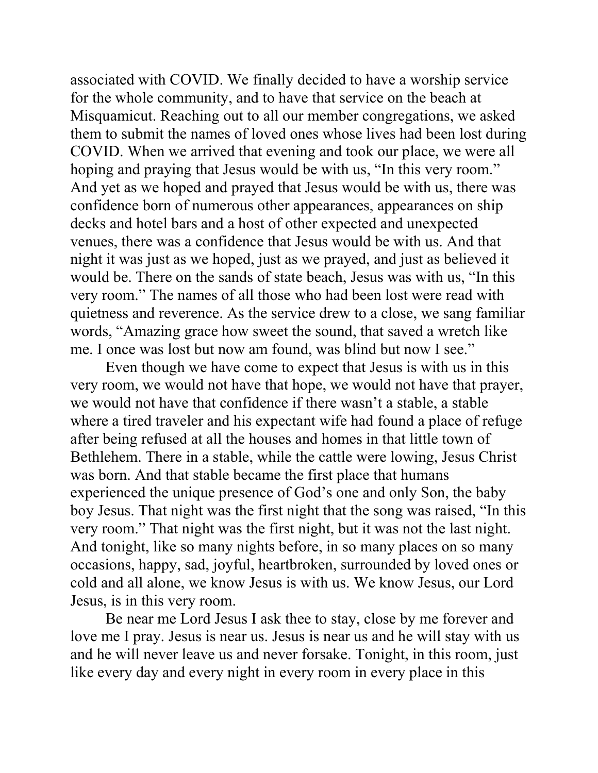associated with COVID. We finally decided to have a worship service for the whole community, and to have that service on the beach at Misquamicut. Reaching out to all our member congregations, we asked them to submit the names of loved ones whose lives had been lost during COVID. When we arrived that evening and took our place, we were all hoping and praying that Jesus would be with us, "In this very room." And yet as we hoped and prayed that Jesus would be with us, there was confidence born of numerous other appearances, appearances on ship decks and hotel bars and a host of other expected and unexpected venues, there was a confidence that Jesus would be with us. And that night it was just as we hoped, just as we prayed, and just as believed it would be. There on the sands of state beach, Jesus was with us, "In this very room." The names of all those who had been lost were read with quietness and reverence. As the service drew to a close, we sang familiar words, "Amazing grace how sweet the sound, that saved a wretch like me. I once was lost but now am found, was blind but now I see."

Even though we have come to expect that Jesus is with us in this very room, we would not have that hope, we would not have that prayer, we would not have that confidence if there wasn't a stable, a stable where a tired traveler and his expectant wife had found a place of refuge after being refused at all the houses and homes in that little town of Bethlehem. There in a stable, while the cattle were lowing, Jesus Christ was born. And that stable became the first place that humans experienced the unique presence of God's one and only Son, the baby boy Jesus. That night was the first night that the song was raised, "In this very room." That night was the first night, but it was not the last night. And tonight, like so many nights before, in so many places on so many occasions, happy, sad, joyful, heartbroken, surrounded by loved ones or cold and all alone, we know Jesus is with us. We know Jesus, our Lord Jesus, is in this very room.

Be near me Lord Jesus I ask thee to stay, close by me forever and love me I pray. Jesus is near us. Jesus is near us and he will stay with us and he will never leave us and never forsake. Tonight, in this room, just like every day and every night in every room in every place in this